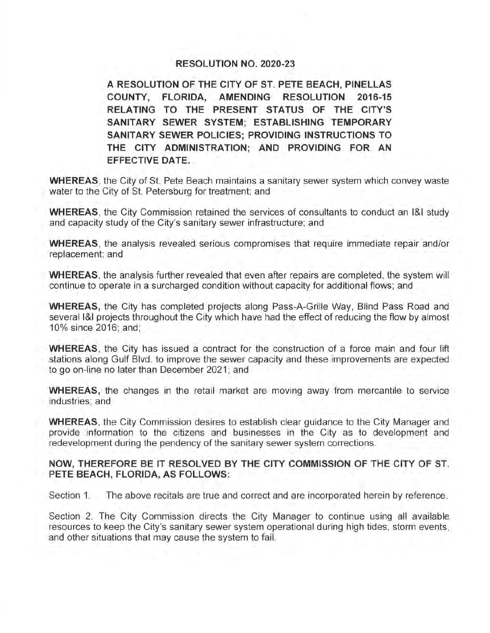## **RESOLUTION NO. 2020-23**

**A RESOLUTION OF THE CITY OF ST. PETE BEACH, PINELLAS COUNTY, FLORIDA, AMENDING RESOLUTION 2016-15 RELATING TO THE PRESENT STATUS OF THE CITY'S SANITARY SEWER SYSTEM; ESTABLISHING TEMPORARY SANITARY SEWER POLICIES; PROVIDING INSTRUCTIONS TO THE CITY ADMINISTRATION; AND PROVIDING FOR AN EFFECTIVE DATE.** 

**WHEREAS,** the City of St. Pete Beach maintains a sanitary sewer system which convey waste water to the City of St. Petersburg for treatment; and

**WHEREAS,** the City Commission retained the services of consultants to conduct an 1&1 study and capacity study of the City's sanitary sewer infrastructure; and

**WHEREAS,** the analysis revealed serious compromises that require immediate repair and/or replacement; and

**WHEREAS**, the analysis further revealed that even after repairs are completed, the system will continue to operate in a surcharged condition without capacity for additional flows ; and

**WHEREAS,** the City has completed projects along Pass-A-Grille Way, Blind Pass Road and several l&I projects throughout the City which have had the effect of reducing the flow by almost 10% since 2016; and;

**WHEREAS,** the City has issued a contract for the construction of a force main and four lift stations along Gulf Blvd, to improve the sewer capacity and these improvements are expected to go on-line no later than December 2021; and

**WHEREAS,** the changes in the retail market are moving away from mercantile to service industries; and

**WHEREAS,** the City Commission desires to establish clear guidance to the City Manager and provide information to the citizens and businesses in the City as to development and redevelopment during the pendency of the sanitary sewer system corrections.

## **NOW, THEREFORE BE IT RESOLVED BY THE CITY COMMISSION OF THE CITY OF ST. PETE BEACH, FLORIDA, AS FOLLOWS:**

Section 1. The above recitals are true and correct and are incorporated herein by reference.

Section 2. The City Commission directs the City Manager to continue using all available resources to keep the City's sanitary sewer system operational during high tides, storm events, and other situations that may cause the system to fail.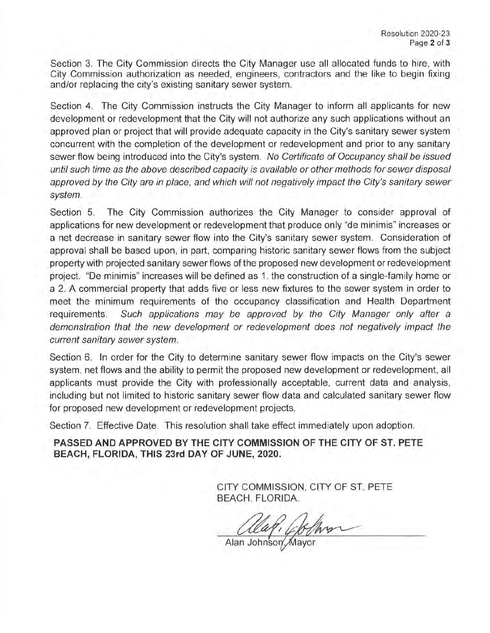Section 3. The City Commission directs the City Manager use all allocated funds to hire, with City Commission authorization as needed, engineers, contractors and the like to begin fixing and/or replacing the city's existing sanitary sewer system.

Section 4. The City Commission instructs the City Manager to inform all applicants for new development or redevelopment that the City will not authorize any such applications without an approved plan or project that will provide adequate capacity in the City's sanitary sewer system concurrent with the completion of the development or redevelopment and prior to any sanitary sewer flow being introduced into the City's system. No Certificate of Occupancy shall be issued until such time as the above described capacity is available or other methods for sewer disposal approved by the City are in place, and which will not negatively impact the City's sanitary sewer system.

Section 5. The City Commission authorizes the City Manager to consider approval of applications for new development or redevelopment that produce only "de minimis" increases or a net decrease in sanitary sewer flow into the City's sanitary sewer system. Consideration of approval shall be based upon, in part, comparing historic sanitary sewer flows from the subject property with projected sanitary sewer flows of the proposed new development or redevelopment project. "De minimis" increases will be defined as 1. the construction of a single-family home or a 2. A commercial property that adds five or less new fixtures to the sewer system in order to meet the minimum requirements of the occupancy classification and Health Department requirements. Such applications may be approved by the City Manager only after a demonstration that the new development or redevelopment does not negatively impact the current sanitary sewer system.

Section 6. In order for the City to determine sanitary sewer flow impacts on the City's sewer system, net flows and the ability to permit the proposed new development or redevelopment, all applicants must provide the City with professionally acceptable, current data and analysis, including but not limited to historic sanitary sewer flow data and calculated sanitary sewer flow for proposed new development or redevelopment projects.

Section 7. Effective Date. This resolution shall take effect immediately upon adoption.

**PASSED AND APPROVED BY THE CITY COMMISSION OF THE CITY OF ST. PETE BEACH, FLORIDA, THIS 23rd DAY OF JUNE, 2020.** 

> CITY COMMISSION, CITY OF ST. PETE BEACH, FLORIDA.

Alan Johnson, Mayor